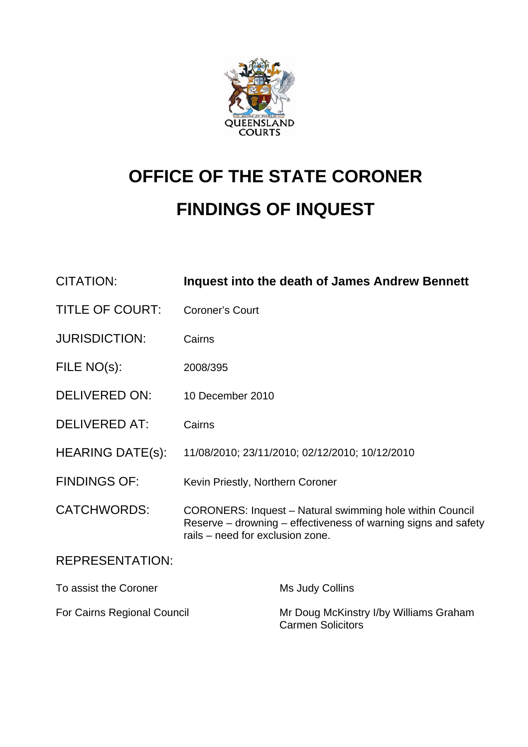

# **OFFICE OF THE STATE CORONER FINDINGS OF INQUEST**

| <b>CITATION:</b>            | <b>Inquest into the death of James Andrew Bennett</b>                                                                                                                 |
|-----------------------------|-----------------------------------------------------------------------------------------------------------------------------------------------------------------------|
| <b>TITLE OF COURT:</b>      | <b>Coroner's Court</b>                                                                                                                                                |
| <b>JURISDICTION:</b>        | Cairns                                                                                                                                                                |
| FILE NO(s):                 | 2008/395                                                                                                                                                              |
| <b>DELIVERED ON:</b>        | 10 December 2010                                                                                                                                                      |
| <b>DELIVERED AT:</b>        | Cairns                                                                                                                                                                |
| <b>HEARING DATE(s):</b>     | 11/08/2010; 23/11/2010; 02/12/2010; 10/12/2010                                                                                                                        |
| <b>FINDINGS OF:</b>         | Kevin Priestly, Northern Coroner                                                                                                                                      |
| <b>CATCHWORDS:</b>          | <b>CORONERS: Inquest - Natural swimming hole within Council</b><br>Reserve – drowning – effectiveness of warning signs and safety<br>rails - need for exclusion zone. |
| <b>REPRESENTATION:</b>      |                                                                                                                                                                       |
| To assist the Coroner       | Ms Judy Collins                                                                                                                                                       |
| For Cairns Regional Council | Mr Doug McKinstry I/by Williams Graham                                                                                                                                |

Carmen Solicitors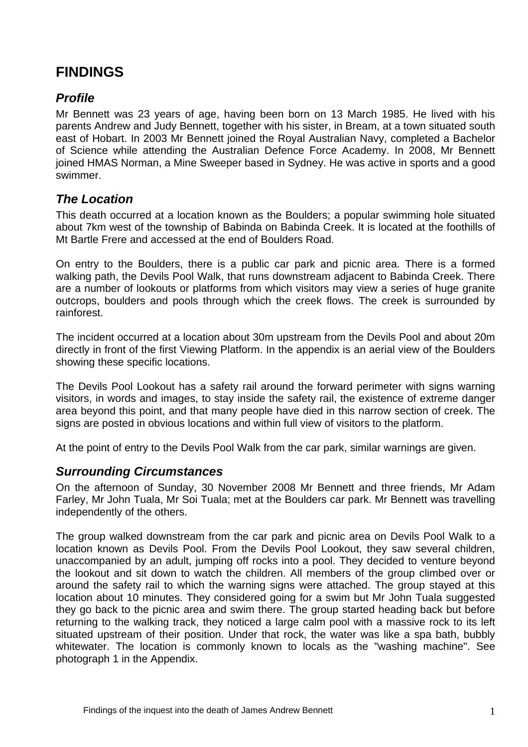# **FINDINGS**

# *Profile*

Mr Bennett was 23 years of age, having been born on 13 March 1985. He lived with his parents Andrew and Judy Bennett, together with his sister, in Bream, at a town situated south east of Hobart. In 2003 Mr Bennett joined the Royal Australian Navy, completed a Bachelor of Science while attending the Australian Defence Force Academy. In 2008, Mr Bennett joined HMAS Norman, a Mine Sweeper based in Sydney. He was active in sports and a good swimmer.

# *The Location*

This death occurred at a location known as the Boulders; a popular swimming hole situated about 7km west of the township of Babinda on Babinda Creek. It is located at the foothills of Mt Bartle Frere and accessed at the end of Boulders Road.

On entry to the Boulders, there is a public car park and picnic area. There is a formed walking path, the Devils Pool Walk, that runs downstream adjacent to Babinda Creek. There are a number of lookouts or platforms from which visitors may view a series of huge granite outcrops, boulders and pools through which the creek flows. The creek is surrounded by rainforest.

The incident occurred at a location about 30m upstream from the Devils Pool and about 20m directly in front of the first Viewing Platform. In the appendix is an aerial view of the Boulders showing these specific locations.

The Devils Pool Lookout has a safety rail around the forward perimeter with signs warning visitors, in words and images, to stay inside the safety rail, the existence of extreme danger area beyond this point, and that many people have died in this narrow section of creek. The signs are posted in obvious locations and within full view of visitors to the platform.

At the point of entry to the Devils Pool Walk from the car park, similar warnings are given.

# *Surrounding Circumstances*

On the afternoon of Sunday, 30 November 2008 Mr Bennett and three friends, Mr Adam Farley, Mr John Tuala, Mr Soi Tuala; met at the Boulders car park. Mr Bennett was travelling independently of the others.

The group walked downstream from the car park and picnic area on Devils Pool Walk to a location known as Devils Pool. From the Devils Pool Lookout, they saw several children, unaccompanied by an adult, jumping off rocks into a pool. They decided to venture beyond the lookout and sit down to watch the children. All members of the group climbed over or around the safety rail to which the warning signs were attached. The group stayed at this location about 10 minutes. They considered going for a swim but Mr John Tuala suggested they go back to the picnic area and swim there. The group started heading back but before returning to the walking track, they noticed a large calm pool with a massive rock to its left situated upstream of their position. Under that rock, the water was like a spa bath, bubbly whitewater. The location is commonly known to locals as the "washing machine". See photograph 1 in the Appendix.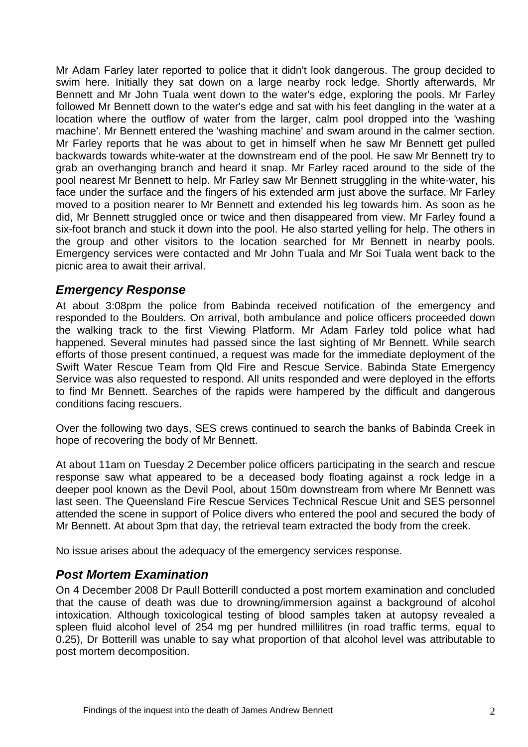Mr Adam Farley later reported to police that it didn't look dangerous. The group decided to swim here. Initially they sat down on a large nearby rock ledge. Shortly afterwards, Mr Bennett and Mr John Tuala went down to the water's edge, exploring the pools. Mr Farley followed Mr Bennett down to the water's edge and sat with his feet dangling in the water at a location where the outflow of water from the larger, calm pool dropped into the 'washing machine'. Mr Bennett entered the 'washing machine' and swam around in the calmer section. Mr Farley reports that he was about to get in himself when he saw Mr Bennett get pulled backwards towards white-water at the downstream end of the pool. He saw Mr Bennett try to grab an overhanging branch and heard it snap. Mr Farley raced around to the side of the pool nearest Mr Bennett to help. Mr Farley saw Mr Bennett struggling in the white-water, his face under the surface and the fingers of his extended arm just above the surface. Mr Farley moved to a position nearer to Mr Bennett and extended his leg towards him. As soon as he did, Mr Bennett struggled once or twice and then disappeared from view. Mr Farley found a six-foot branch and stuck it down into the pool. He also started yelling for help. The others in the group and other visitors to the location searched for Mr Bennett in nearby pools. Emergency services were contacted and Mr John Tuala and Mr Soi Tuala went back to the picnic area to await their arrival.

#### *Emergency Response*

At about 3:08pm the police from Babinda received notification of the emergency and responded to the Boulders. On arrival, both ambulance and police officers proceeded down the walking track to the first Viewing Platform. Mr Adam Farley told police what had happened. Several minutes had passed since the last sighting of Mr Bennett. While search efforts of those present continued, a request was made for the immediate deployment of the Swift Water Rescue Team from Qld Fire and Rescue Service. Babinda State Emergency Service was also requested to respond. All units responded and were deployed in the efforts to find Mr Bennett. Searches of the rapids were hampered by the difficult and dangerous conditions facing rescuers.

Over the following two days, SES crews continued to search the banks of Babinda Creek in hope of recovering the body of Mr Bennett.

At about 11am on Tuesday 2 December police officers participating in the search and rescue response saw what appeared to be a deceased body floating against a rock ledge in a deeper pool known as the Devil Pool, about 150m downstream from where Mr Bennett was last seen. The Queensland Fire Rescue Services Technical Rescue Unit and SES personnel attended the scene in support of Police divers who entered the pool and secured the body of Mr Bennett. At about 3pm that day, the retrieval team extracted the body from the creek.

No issue arises about the adequacy of the emergency services response.

#### *Post Mortem Examination*

On 4 December 2008 Dr Paull Botterill conducted a post mortem examination and concluded that the cause of death was due to drowning/immersion against a background of alcohol intoxication. Although toxicological testing of blood samples taken at autopsy revealed a spleen fluid alcohol level of 254 mg per hundred millilitres (in road traffic terms, equal to 0.25), Dr Botterill was unable to say what proportion of that alcohol level was attributable to post mortem decomposition.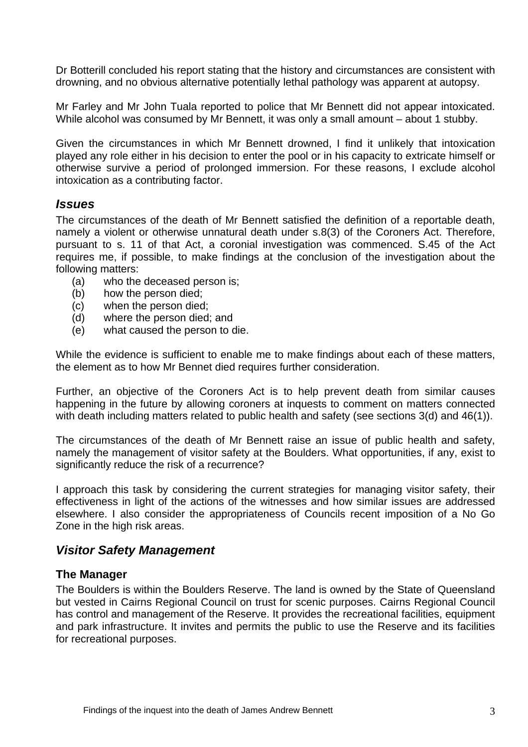Dr Botterill concluded his report stating that the history and circumstances are consistent with drowning, and no obvious alternative potentially lethal pathology was apparent at autopsy.

Mr Farley and Mr John Tuala reported to police that Mr Bennett did not appear intoxicated. While alcohol was consumed by Mr Bennett, it was only a small amount – about 1 stubby.

Given the circumstances in which Mr Bennett drowned, I find it unlikely that intoxication played any role either in his decision to enter the pool or in his capacity to extricate himself or otherwise survive a period of prolonged immersion. For these reasons, I exclude alcohol intoxication as a contributing factor.

#### *Issues*

The circumstances of the death of Mr Bennett satisfied the definition of a reportable death, namely a violent or otherwise unnatural death under s.8(3) of the Coroners Act. Therefore, pursuant to s. 11 of that Act, a coronial investigation was commenced. S.45 of the Act requires me, if possible, to make findings at the conclusion of the investigation about the following matters:

- (a) who the deceased person is;
- (b) how the person died;
- (c) when the person died;
- (d) where the person died; and
- (e) what caused the person to die.

While the evidence is sufficient to enable me to make findings about each of these matters, the element as to how Mr Bennet died requires further consideration.

Further, an objective of the Coroners Act is to help prevent death from similar causes happening in the future by allowing coroners at inquests to comment on matters connected with death including matters related to public health and safety (see sections 3(d) and 46(1)).

The circumstances of the death of Mr Bennett raise an issue of public health and safety, namely the management of visitor safety at the Boulders. What opportunities, if any, exist to significantly reduce the risk of a recurrence?

I approach this task by considering the current strategies for managing visitor safety, their effectiveness in light of the actions of the witnesses and how similar issues are addressed elsewhere. I also consider the appropriateness of Councils recent imposition of a No Go Zone in the high risk areas.

#### *Visitor Safety Management*

#### **The Manager**

The Boulders is within the Boulders Reserve. The land is owned by the State of Queensland but vested in Cairns Regional Council on trust for scenic purposes. Cairns Regional Council has control and management of the Reserve. It provides the recreational facilities, equipment and park infrastructure. It invites and permits the public to use the Reserve and its facilities for recreational purposes.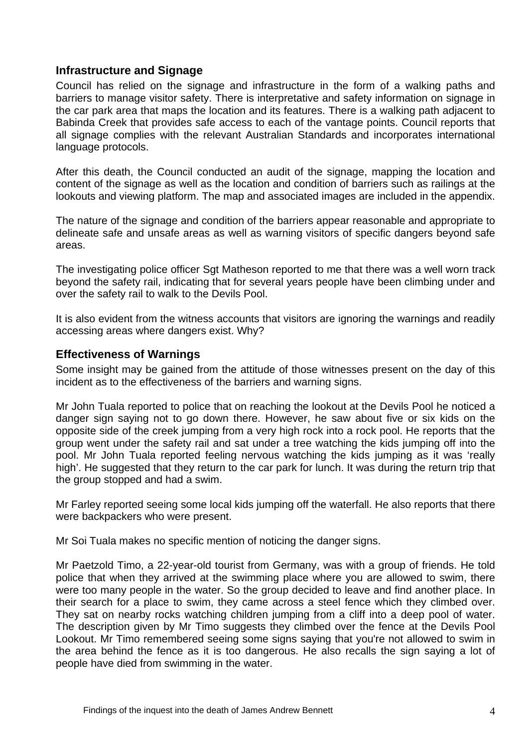#### **Infrastructure and Signage**

Council has relied on the signage and infrastructure in the form of a walking paths and barriers to manage visitor safety. There is interpretative and safety information on signage in the car park area that maps the location and its features. There is a walking path adjacent to Babinda Creek that provides safe access to each of the vantage points. Council reports that all signage complies with the relevant Australian Standards and incorporates international language protocols.

After this death, the Council conducted an audit of the signage, mapping the location and content of the signage as well as the location and condition of barriers such as railings at the lookouts and viewing platform. The map and associated images are included in the appendix.

The nature of the signage and condition of the barriers appear reasonable and appropriate to delineate safe and unsafe areas as well as warning visitors of specific dangers beyond safe areas.

The investigating police officer Sgt Matheson reported to me that there was a well worn track beyond the safety rail, indicating that for several years people have been climbing under and over the safety rail to walk to the Devils Pool.

It is also evident from the witness accounts that visitors are ignoring the warnings and readily accessing areas where dangers exist. Why?

#### **Effectiveness of Warnings**

Some insight may be gained from the attitude of those witnesses present on the day of this incident as to the effectiveness of the barriers and warning signs.

Mr John Tuala reported to police that on reaching the lookout at the Devils Pool he noticed a danger sign saying not to go down there. However, he saw about five or six kids on the opposite side of the creek jumping from a very high rock into a rock pool. He reports that the group went under the safety rail and sat under a tree watching the kids jumping off into the pool. Mr John Tuala reported feeling nervous watching the kids jumping as it was 'really high'. He suggested that they return to the car park for lunch. It was during the return trip that the group stopped and had a swim.

Mr Farley reported seeing some local kids jumping off the waterfall. He also reports that there were backpackers who were present.

Mr Soi Tuala makes no specific mention of noticing the danger signs.

Mr Paetzold Timo, a 22-year-old tourist from Germany, was with a group of friends. He told police that when they arrived at the swimming place where you are allowed to swim, there were too many people in the water. So the group decided to leave and find another place. In their search for a place to swim, they came across a steel fence which they climbed over. They sat on nearby rocks watching children jumping from a cliff into a deep pool of water. The description given by Mr Timo suggests they climbed over the fence at the Devils Pool Lookout. Mr Timo remembered seeing some signs saying that you're not allowed to swim in the area behind the fence as it is too dangerous. He also recalls the sign saying a lot of people have died from swimming in the water.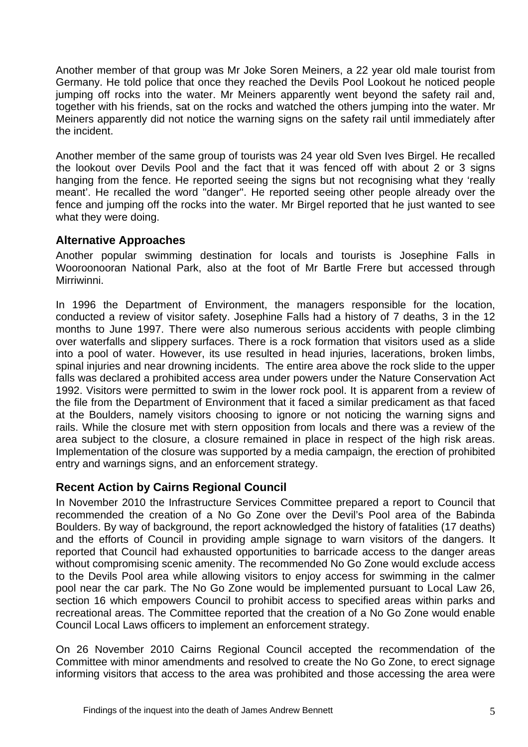Another member of that group was Mr Joke Soren Meiners, a 22 year old male tourist from Germany. He told police that once they reached the Devils Pool Lookout he noticed people jumping off rocks into the water. Mr Meiners apparently went beyond the safety rail and, together with his friends, sat on the rocks and watched the others jumping into the water. Mr Meiners apparently did not notice the warning signs on the safety rail until immediately after the incident.

Another member of the same group of tourists was 24 year old Sven Ives Birgel. He recalled the lookout over Devils Pool and the fact that it was fenced off with about 2 or 3 signs hanging from the fence. He reported seeing the signs but not recognising what they 'really meant'. He recalled the word "danger". He reported seeing other people already over the fence and jumping off the rocks into the water. Mr Birgel reported that he just wanted to see what they were doing.

#### **Alternative Approaches**

Another popular swimming destination for locals and tourists is Josephine Falls in Wooroonooran National Park, also at the foot of Mr Bartle Frere but accessed through Mirriwinni.

In 1996 the Department of Environment, the managers responsible for the location, conducted a review of visitor safety. Josephine Falls had a history of 7 deaths, 3 in the 12 months to June 1997. There were also numerous serious accidents with people climbing over waterfalls and slippery surfaces. There is a rock formation that visitors used as a slide into a pool of water. However, its use resulted in head injuries, lacerations, broken limbs, spinal injuries and near drowning incidents. The entire area above the rock slide to the upper falls was declared a prohibited access area under powers under the Nature Conservation Act 1992. Visitors were permitted to swim in the lower rock pool. It is apparent from a review of the file from the Department of Environment that it faced a similar predicament as that faced at the Boulders, namely visitors choosing to ignore or not noticing the warning signs and rails. While the closure met with stern opposition from locals and there was a review of the area subject to the closure, a closure remained in place in respect of the high risk areas. Implementation of the closure was supported by a media campaign, the erection of prohibited entry and warnings signs, and an enforcement strategy.

# **Recent Action by Cairns Regional Council**

In November 2010 the Infrastructure Services Committee prepared a report to Council that recommended the creation of a No Go Zone over the Devil's Pool area of the Babinda Boulders. By way of background, the report acknowledged the history of fatalities (17 deaths) and the efforts of Council in providing ample signage to warn visitors of the dangers. It reported that Council had exhausted opportunities to barricade access to the danger areas without compromising scenic amenity. The recommended No Go Zone would exclude access to the Devils Pool area while allowing visitors to enjoy access for swimming in the calmer pool near the car park. The No Go Zone would be implemented pursuant to Local Law 26, section 16 which empowers Council to prohibit access to specified areas within parks and recreational areas. The Committee reported that the creation of a No Go Zone would enable Council Local Laws officers to implement an enforcement strategy.

On 26 November 2010 Cairns Regional Council accepted the recommendation of the Committee with minor amendments and resolved to create the No Go Zone, to erect signage informing visitors that access to the area was prohibited and those accessing the area were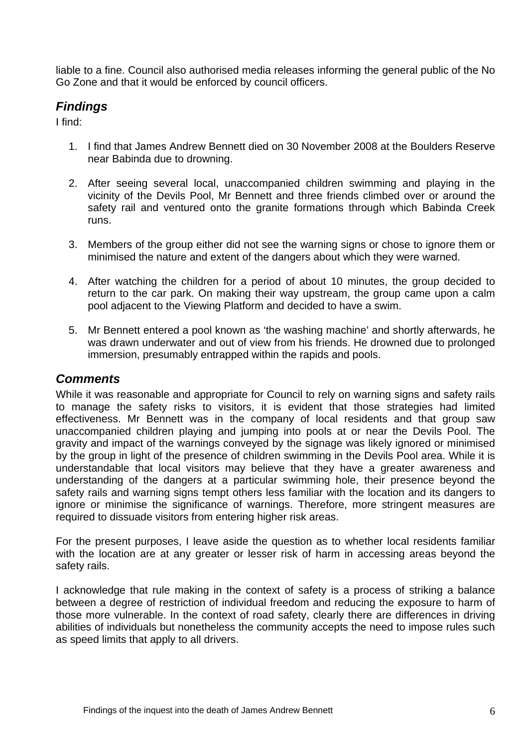liable to a fine. Council also authorised media releases informing the general public of the No Go Zone and that it would be enforced by council officers.

# *Findings*

I find:

- 1. I find that James Andrew Bennett died on 30 November 2008 at the Boulders Reserve near Babinda due to drowning.
- 2. After seeing several local, unaccompanied children swimming and playing in the vicinity of the Devils Pool, Mr Bennett and three friends climbed over or around the safety rail and ventured onto the granite formations through which Babinda Creek runs.
- 3. Members of the group either did not see the warning signs or chose to ignore them or minimised the nature and extent of the dangers about which they were warned.
- 4. After watching the children for a period of about 10 minutes, the group decided to return to the car park. On making their way upstream, the group came upon a calm pool adjacent to the Viewing Platform and decided to have a swim.
- 5. Mr Bennett entered a pool known as 'the washing machine' and shortly afterwards, he was drawn underwater and out of view from his friends. He drowned due to prolonged immersion, presumably entrapped within the rapids and pools.

#### *Comments*

While it was reasonable and appropriate for Council to rely on warning signs and safety rails to manage the safety risks to visitors, it is evident that those strategies had limited effectiveness. Mr Bennett was in the company of local residents and that group saw unaccompanied children playing and jumping into pools at or near the Devils Pool. The gravity and impact of the warnings conveyed by the signage was likely ignored or minimised by the group in light of the presence of children swimming in the Devils Pool area. While it is understandable that local visitors may believe that they have a greater awareness and understanding of the dangers at a particular swimming hole, their presence beyond the safety rails and warning signs tempt others less familiar with the location and its dangers to ignore or minimise the significance of warnings. Therefore, more stringent measures are required to dissuade visitors from entering higher risk areas.

For the present purposes, I leave aside the question as to whether local residents familiar with the location are at any greater or lesser risk of harm in accessing areas beyond the safety rails.

I acknowledge that rule making in the context of safety is a process of striking a balance between a degree of restriction of individual freedom and reducing the exposure to harm of those more vulnerable. In the context of road safety, clearly there are differences in driving abilities of individuals but nonetheless the community accepts the need to impose rules such as speed limits that apply to all drivers.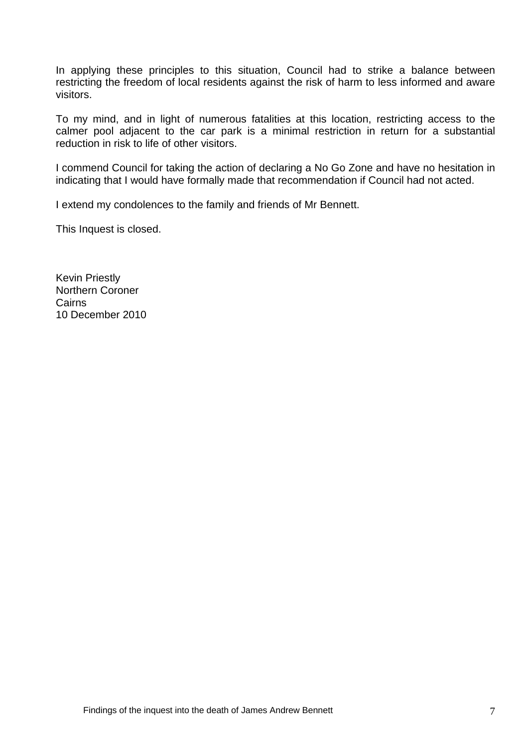In applying these principles to this situation, Council had to strike a balance between restricting the freedom of local residents against the risk of harm to less informed and aware visitors.

To my mind, and in light of numerous fatalities at this location, restricting access to the calmer pool adjacent to the car park is a minimal restriction in return for a substantial reduction in risk to life of other visitors.

I commend Council for taking the action of declaring a No Go Zone and have no hesitation in indicating that I would have formally made that recommendation if Council had not acted.

I extend my condolences to the family and friends of Mr Bennett.

This Inquest is closed.

Kevin Priestly Northern Coroner Cairns 10 December 2010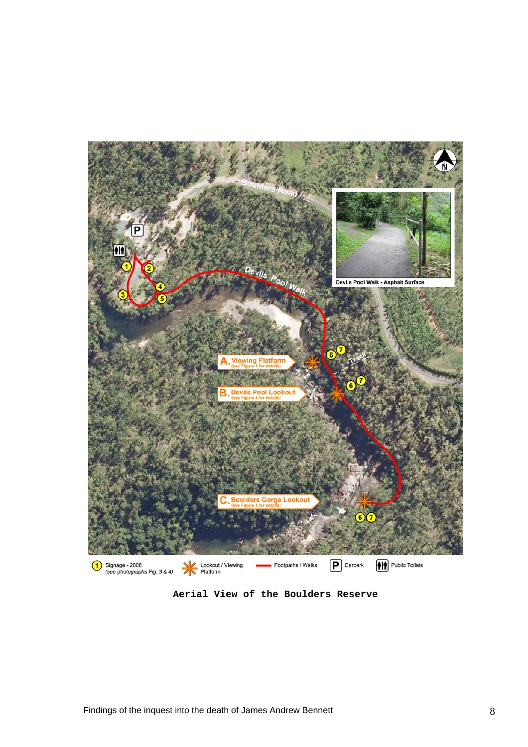

**Aerial View of the Boulders Reserve**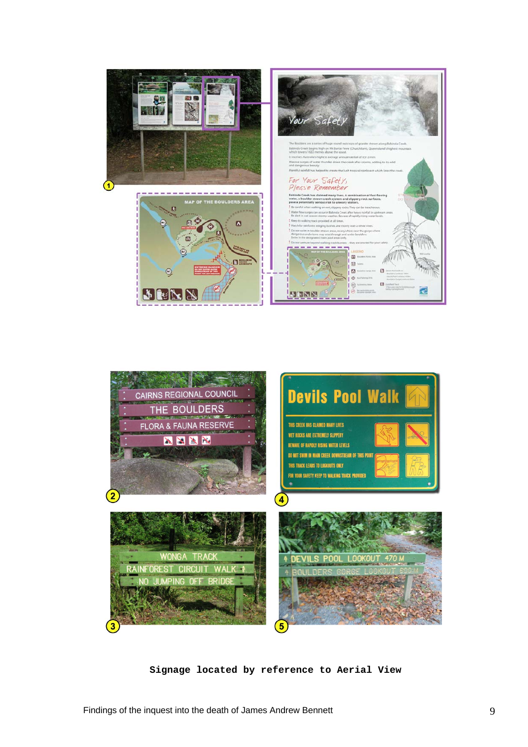



**Signage located by reference to Aerial View**